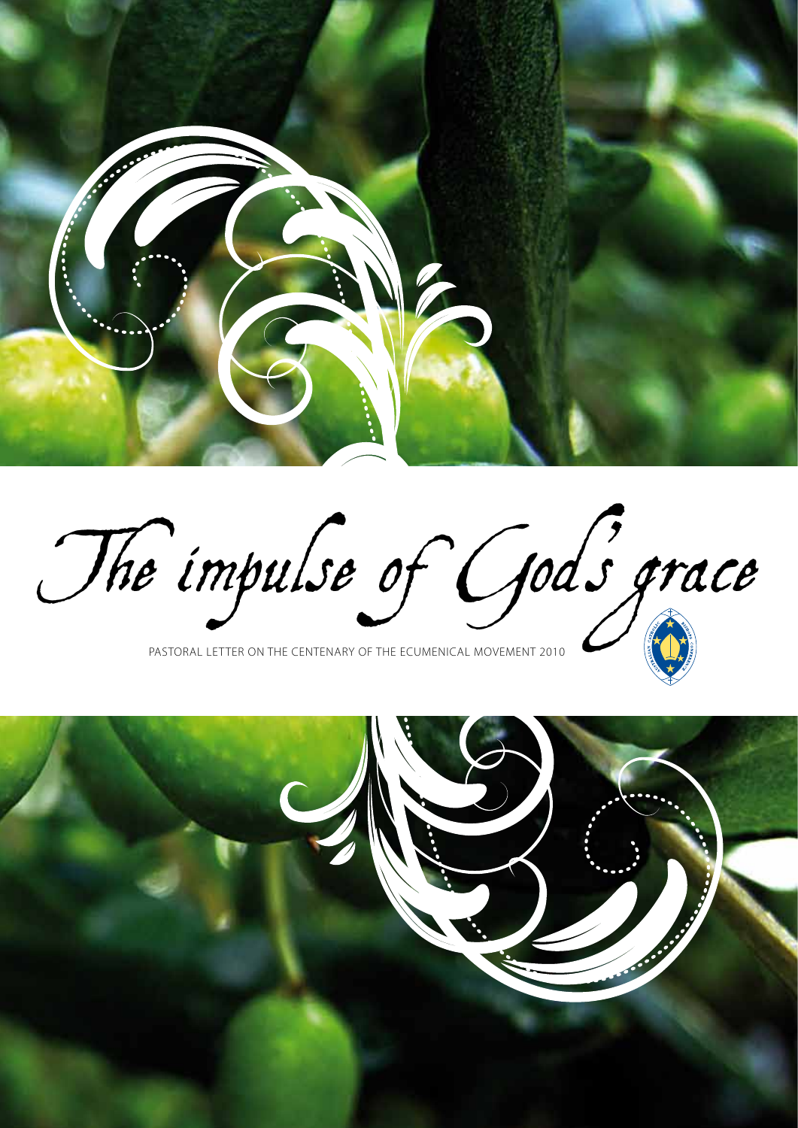

The impulse of God's grace

PASTORAL LETTER ON THE CENTENARY OF THE ECUMENICAL MOVEMENT 2010

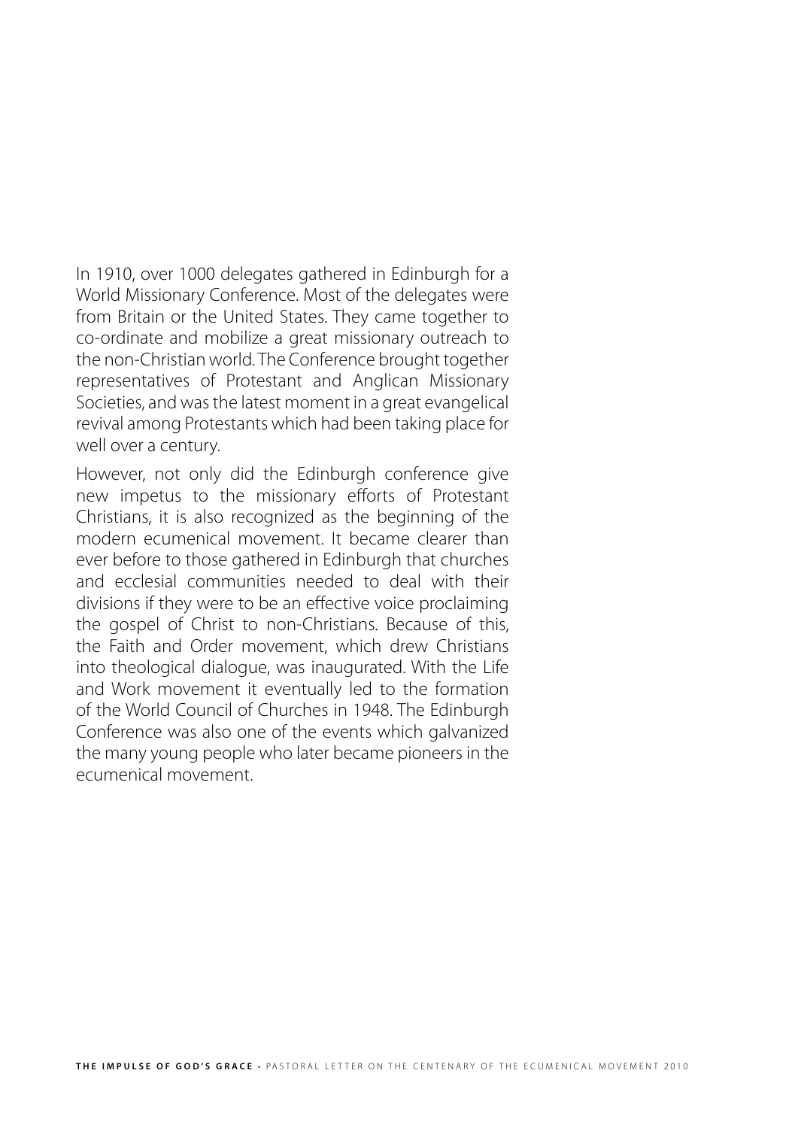In 1910, over 1000 delegates gathered in Edinburgh for a World Missionary Conference. Most of the delegates were from Britain or the United States. They came together to co-ordinate and mobilize a great missionary outreach to the non-Christian world. The Conference brought together representatives of Protestant and Anglican Missionary Societies, and was the latest moment in a great evangelical revival among Protestants which had been taking place for well over a century.

However, not only did the Edinburgh conference give new impetus to the missionary efforts of Protestant Christians, it is also recognized as the beginning of the modern ecumenical movement. It became clearer than ever before to those gathered in Edinburgh that churches and ecclesial communities needed to deal with their divisions if they were to be an effective voice proclaiming the gospel of Christ to non-Christians. Because of this, the Faith and Order movement, which drew Christians into theological dialogue, was inaugurated. With the Life and Work movement it eventually led to the formation of the World Council of Churches in 1948. The Edinburgh Conference was also one of the events which galvanized the many young people who later became pioneers in the ecumenical movement.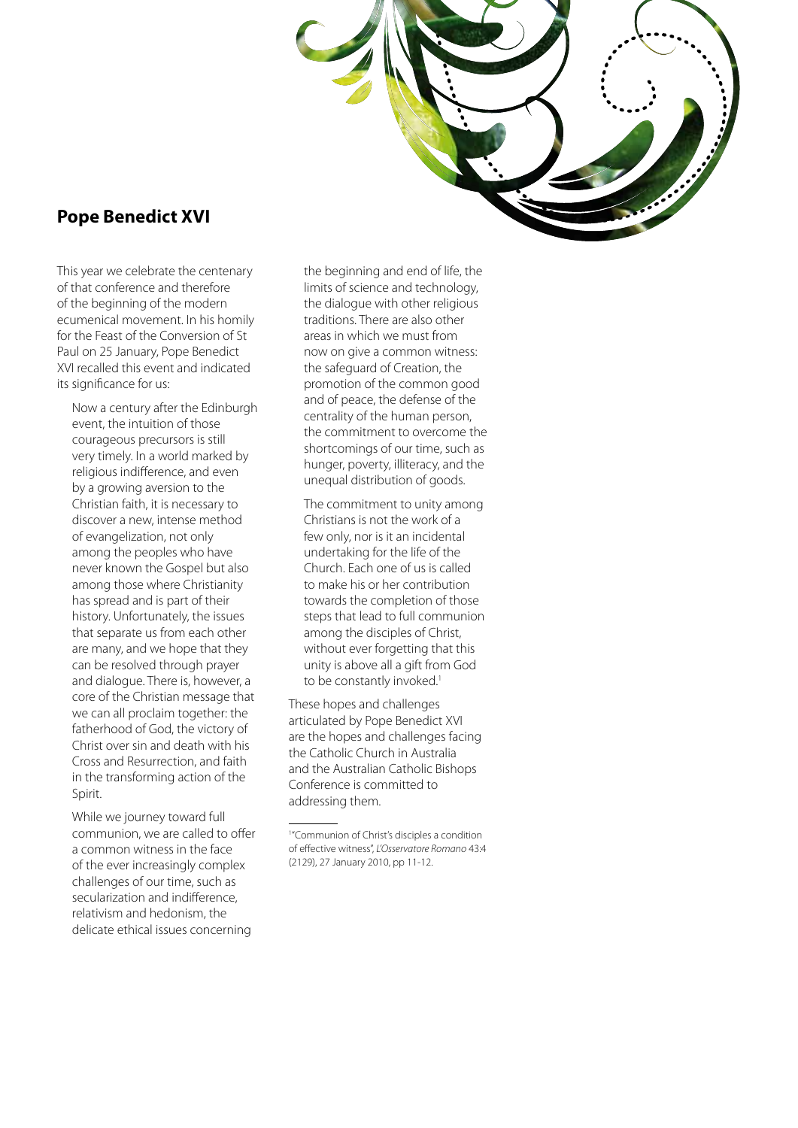

### **Pope Benedict XVI**

This year we celebrate the centenary of that conference and therefore of the beginning of the modern ecumenical movement. In his homily for the Feast of the Conversion of St Paul on 25 January, Pope Benedict XVI recalled this event and indicated its significance for us:

Now a century after the Edinburgh event, the intuition of those courageous precursors is still very timely. In a world marked by religious indifference, and even by a growing aversion to the Christian faith, it is necessary to discover a new, intense method of evangelization, not only among the peoples who have never known the Gospel but also among those where Christianity has spread and is part of their history. Unfortunately, the issues that separate us from each other are many, and we hope that they can be resolved through prayer and dialogue. There is, however, a core of the Christian message that we can all proclaim together: the fatherhood of God, the victory of Christ over sin and death with his Cross and Resurrection, and faith in the transforming action of the Spirit.

While we journey toward full communion, we are called to offer a common witness in the face of the ever increasingly complex challenges of our time, such as secularization and indifference, relativism and hedonism, the delicate ethical issues concerning

the beginning and end of life, the limits of science and technology, the dialogue with other religious traditions. There are also other areas in which we must from now on give a common witness: the safeguard of Creation, the promotion of the common good and of peace, the defense of the centrality of the human person, the commitment to overcome the shortcomings of our time, such as hunger, poverty, illiteracy, and the unequal distribution of goods.

The commitment to unity among Christians is not the work of a few only, nor is it an incidental undertaking for the life of the Church. Each one of us is called to make his or her contribution towards the completion of those steps that lead to full communion among the disciples of Christ, without ever forgetting that this unity is above all a gift from God to be constantly invoked.<sup>1</sup>

These hopes and challenges articulated by Pope Benedict XVI are the hopes and challenges facing the Catholic Church in Australia and the Australian Catholic Bishops Conference is committed to addressing them.

<sup>1</sup> "Communion of Christ's disciples a condition of effective witness", *L'Osservatore Romano* 43:4 (2129), 27 January 2010, pp 11-12.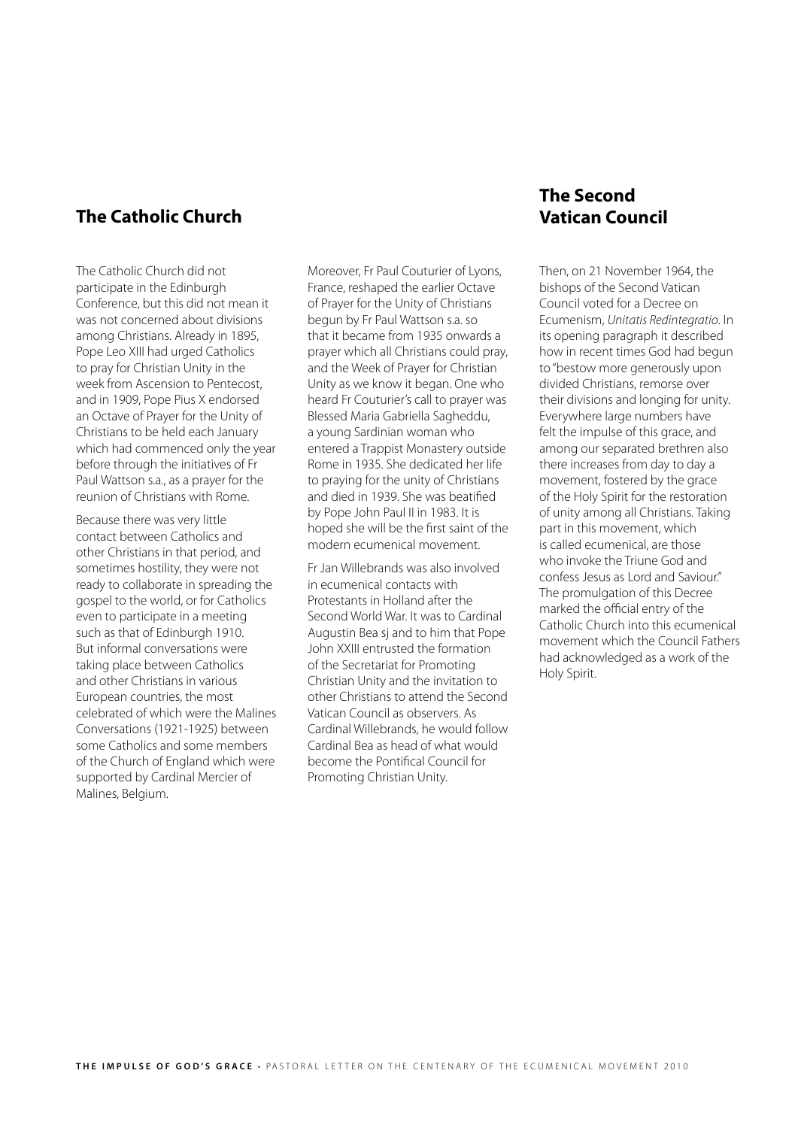### **The Catholic Church**

The Catholic Church did not participate in the Edinburgh Conference, but this did not mean it was not concerned about divisions among Christians. Already in 1895, Pope Leo XIII had urged Catholics to pray for Christian Unity in the week from Ascension to Pentecost, and in 1909, Pope Pius X endorsed an Octave of Prayer for the Unity of Christians to be held each January which had commenced only the year before through the initiatives of Fr Paul Wattson s.a., as a prayer for the reunion of Christians with Rome.

Because there was very little contact between Catholics and other Christians in that period, and sometimes hostility, they were not ready to collaborate in spreading the gospel to the world, or for Catholics even to participate in a meeting such as that of Edinburgh 1910. But informal conversations were taking place between Catholics and other Christians in various European countries, the most celebrated of which were the Malines Conversations (1921-1925) between some Catholics and some members of the Church of England which were supported by Cardinal Mercier of Malines, Belgium.

Moreover, Fr Paul Couturier of Lyons, France, reshaped the earlier Octave of Prayer for the Unity of Christians begun by Fr Paul Wattson s.a. so that it became from 1935 onwards a prayer which all Christians could pray, and the Week of Prayer for Christian Unity as we know it began. One who heard Fr Couturier's call to prayer was Blessed Maria Gabriella Sagheddu, a young Sardinian woman who entered a Trappist Monastery outside Rome in 1935. She dedicated her life to praying for the unity of Christians and died in 1939. She was beatified by Pope John Paul II in 1983. It is hoped she will be the first saint of the modern ecumenical movement.

Fr Jan Willebrands was also involved in ecumenical contacts with Protestants in Holland after the Second World War. It was to Cardinal Augustin Bea sj and to him that Pope John XXIII entrusted the formation of the Secretariat for Promoting Christian Unity and the invitation to other Christians to attend the Second Vatican Council as observers. As Cardinal Willebrands, he would follow Cardinal Bea as head of what would become the Pontifical Council for Promoting Christian Unity.

## **The Second Vatican Council**

Then, on 21 November 1964, the bishops of the Second Vatican Council voted for a Decree on Ecumenism, *Unitatis Redintegratio*. In its opening paragraph it described how in recent times God had begun to "bestow more generously upon divided Christians, remorse over their divisions and longing for unity. Everywhere large numbers have felt the impulse of this grace, and among our separated brethren also there increases from day to day a movement, fostered by the grace of the Holy Spirit for the restoration of unity among all Christians. Taking part in this movement, which is called ecumenical, are those who invoke the Triune God and confess Jesus as Lord and Saviour." The promulgation of this Decree marked the official entry of the Catholic Church into this ecumenical movement which the Council Fathers had acknowledged as a work of the Holy Spirit.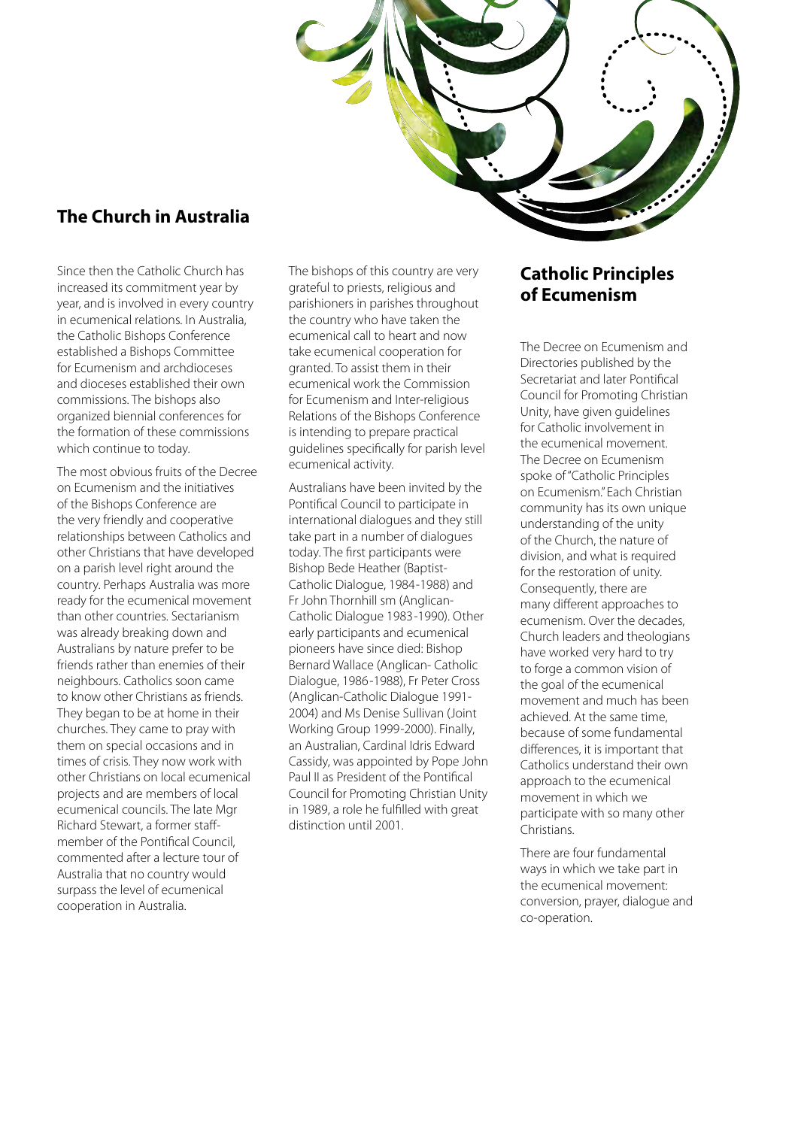# **The Church in Australia**

Since then the Catholic Church has increased its commitment year by year, and is involved in every country in ecumenical relations. In Australia, the Catholic Bishops Conference established a Bishops Committee for Ecumenism and archdioceses and dioceses established their own commissions. The bishops also organized biennial conferences for the formation of these commissions which continue to today.

The most obvious fruits of the Decree on Ecumenism and the initiatives of the Bishops Conference are the very friendly and cooperative relationships between Catholics and other Christians that have developed on a parish level right around the country. Perhaps Australia was more ready for the ecumenical movement than other countries. Sectarianism was already breaking down and Australians by nature prefer to be friends rather than enemies of their neighbours. Catholics soon came to know other Christians as friends. They began to be at home in their churches. They came to pray with them on special occasions and in times of crisis. They now work with other Christians on local ecumenical projects and are members of local ecumenical councils. The late Mgr Richard Stewart, a former staffmember of the Pontifical Council, commented after a lecture tour of Australia that no country would surpass the level of ecumenical cooperation in Australia.

The bishops of this country are very grateful to priests, religious and parishioners in parishes throughout the country who have taken the ecumenical call to heart and now take ecumenical cooperation for granted. To assist them in their ecumenical work the Commission for Ecumenism and Inter-religious Relations of the Bishops Conference is intending to prepare practical guidelines specifically for parish level ecumenical activity.

Australians have been invited by the Pontifical Council to participate in international dialogues and they still take part in a number of dialogues today. The first participants were Bishop Bede Heather (Baptist-Catholic Dialogue, 1984-1988) and Fr John Thornhill sm (Anglican-Catholic Dialogue 1983-1990). Other early participants and ecumenical pioneers have since died: Bishop Bernard Wallace (Anglican- Catholic Dialogue, 1986-1988), Fr Peter Cross (Anglican-Catholic Dialogue 1991- 2004) and Ms Denise Sullivan (Joint Working Group 1999-2000). Finally, an Australian, Cardinal Idris Edward Cassidy, was appointed by Pope John Paul II as President of the Pontifical Council for Promoting Christian Unity in 1989, a role he fulfilled with great distinction until 2001.

### **Catholic Principles of Ecumenism**

The Decree on Ecumenism and Directories published by the Secretariat and later Pontifical Council for Promoting Christian Unity, have given guidelines for Catholic involvement in the ecumenical movement. The Decree on Ecumenism spoke of "Catholic Principles on Ecumenism." Each Christian community has its own unique understanding of the unity of the Church, the nature of division, and what is required for the restoration of unity. Consequently, there are many different approaches to ecumenism. Over the decades, Church leaders and theologians have worked very hard to try to forge a common vision of the goal of the ecumenical movement and much has been achieved. At the same time, because of some fundamental differences, it is important that Catholics understand their own approach to the ecumenical movement in which we participate with so many other Christians

There are four fundamental ways in which we take part in the ecumenical movement: conversion, prayer, dialogue and co-operation.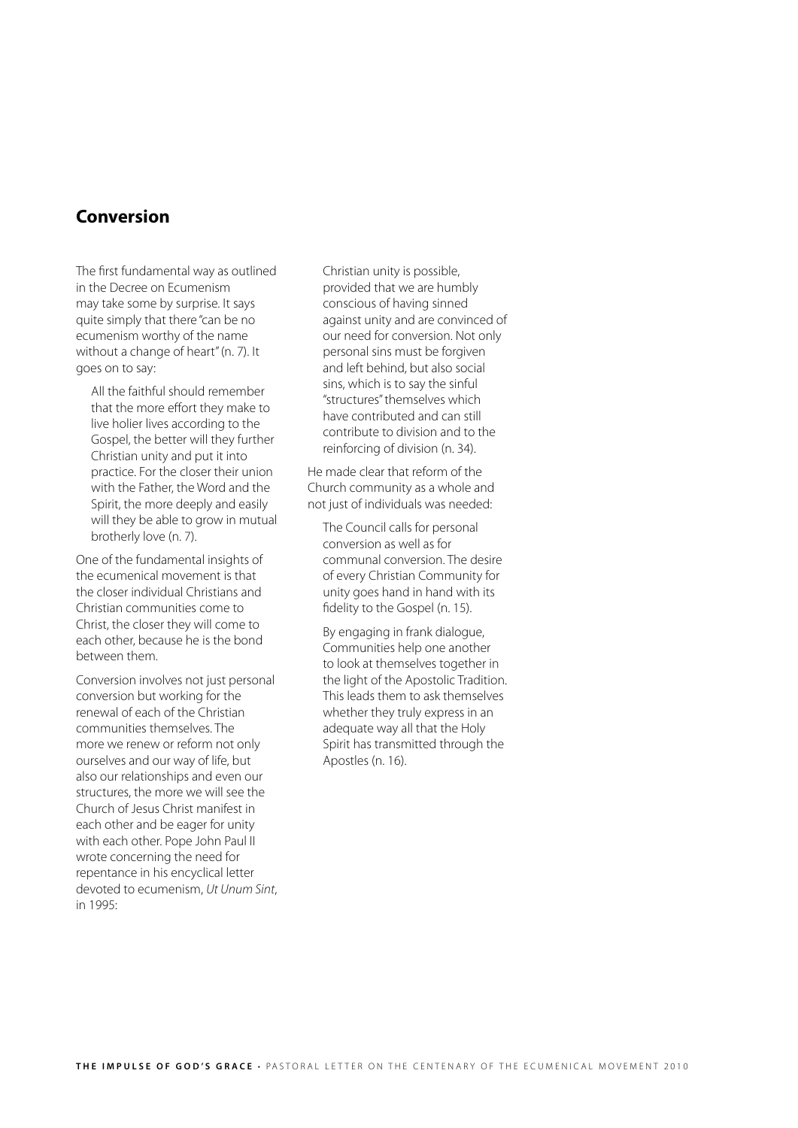### **Conversion**

The first fundamental way as outlined in the Decree on Ecumenism may take some by surprise. It says quite simply that there "can be no ecumenism worthy of the name without a change of heart" (n. 7). It goes on to say:

All the faithful should remember that the more effort they make to live holier lives according to the Gospel, the better will they further Christian unity and put it into practice. For the closer their union with the Father, the Word and the Spirit, the more deeply and easily will they be able to grow in mutual brotherly love (n. 7).

One of the fundamental insights of the ecumenical movement is that the closer individual Christians and Christian communities come to Christ, the closer they will come to each other, because he is the bond between them.

Conversion involves not just personal conversion but working for the renewal of each of the Christian communities themselves. The more we renew or reform not only ourselves and our way of life, but also our relationships and even our structures, the more we will see the Church of Jesus Christ manifest in each other and be eager for unity with each other. Pope John Paul II wrote concerning the need for repentance in his encyclical letter devoted to ecumenism, *Ut Unum Sint*, in 1995:

Christian unity is possible, provided that we are humbly conscious of having sinned against unity and are convinced of our need for conversion. Not only personal sins must be forgiven and left behind, but also social sins, which is to say the sinful "structures" themselves which have contributed and can still contribute to division and to the reinforcing of division (n. 34).

He made clear that reform of the Church community as a whole and not just of individuals was needed:

The Council calls for personal conversion as well as for communal conversion. The desire of every Christian Community for unity goes hand in hand with its fidelity to the Gospel (n. 15).

By engaging in frank dialogue, Communities help one another to look at themselves together in the light of the Apostolic Tradition. This leads them to ask themselves whether they truly express in an adequate way all that the Holy Spirit has transmitted through the Apostles (n. 16).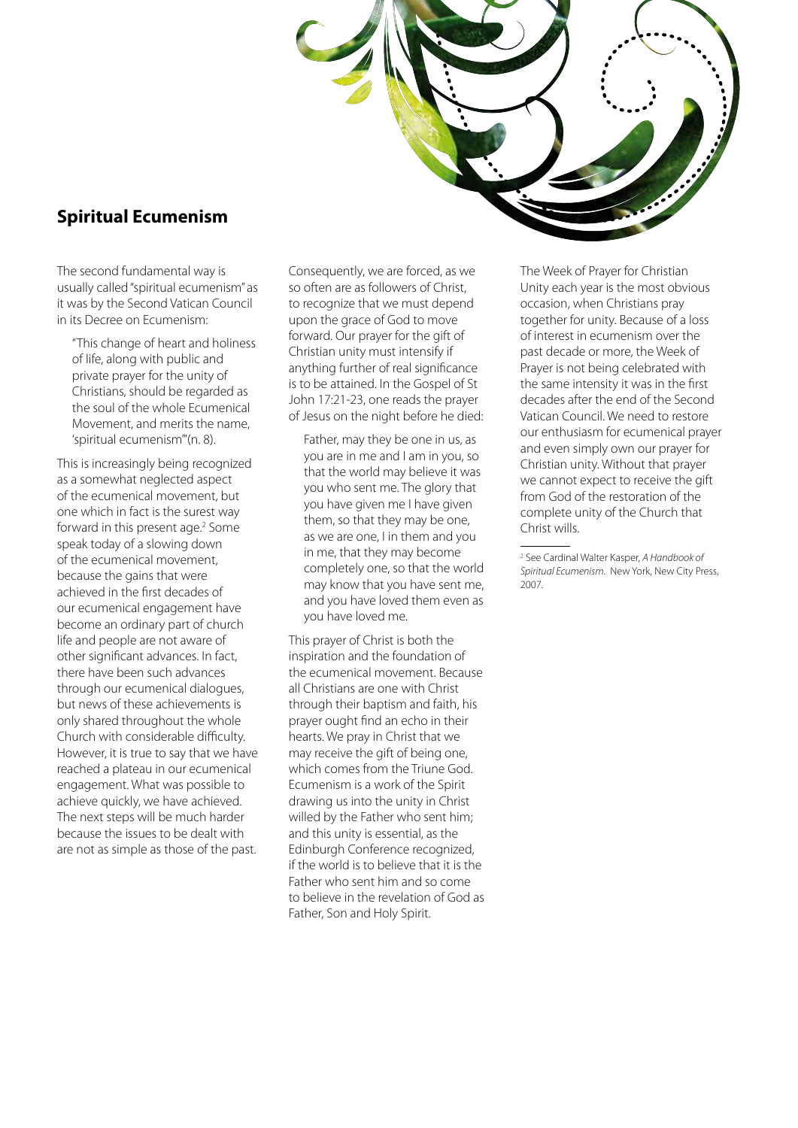# **Spiritual Ecumenism**

The second fundamental way is usually called "spiritual ecumenism" as it was by the Second Vatican Council in its Decree on Ecumenism:

"This change of heart and holiness of life, along with public and private prayer for the unity of Christians, should be regarded as the soul of the whole Ecumenical Movement, and merits the name, 'spiritual ecumenism'"(n. 8).

This is increasingly being recognized as a somewhat neglected aspect of the ecumenical movement, but one which in fact is the surest way forward in this present age.<sup>2</sup> Some speak today of a slowing down of the ecumenical movement, because the gains that were achieved in the first decades of our ecumenical engagement have become an ordinary part of church life and people are not aware of other significant advances. In fact, there have been such advances through our ecumenical dialogues, but news of these achievements is only shared throughout the whole Church with considerable difficulty. However, it is true to say that we have reached a plateau in our ecumenical engagement. What was possible to achieve quickly, we have achieved. The next steps will be much harder because the issues to be dealt with are not as simple as those of the past.

Consequently, we are forced, as we so often are as followers of Christ, to recognize that we must depend upon the grace of God to move forward. Our prayer for the gift of Christian unity must intensify if anything further of real significance is to be attained. In the Gospel of St John 17:21-23, one reads the prayer of Jesus on the night before he died:

Father, may they be one in us, as you are in me and I am in you, so that the world may believe it was you who sent me. The glory that you have given me I have given them, so that they may be one, as we are one, I in them and you in me, that they may become completely one, so that the world may know that you have sent me, and you have loved them even as you have loved me.

This prayer of Christ is both the inspiration and the foundation of the ecumenical movement. Because all Christians are one with Christ through their baptism and faith, his prayer ought find an echo in their hearts. We pray in Christ that we may receive the gift of being one, which comes from the Triune God. Ecumenism is a work of the Spirit drawing us into the unity in Christ willed by the Father who sent him; and this unity is essential, as the Edinburgh Conference recognized, if the world is to believe that it is the Father who sent him and so come to believe in the revelation of God as Father, Son and Holy Spirit.

The Week of Prayer for Christian Unity each year is the most obvious occasion, when Christians pray together for unity. Because of a loss of interest in ecumenism over the past decade or more, the Week of Prayer is not being celebrated with the same intensity it was in the first decades after the end of the Second Vatican Council. We need to restore our enthusiasm for ecumenical prayer and even simply own our prayer for Christian unity. Without that prayer we cannot expect to receive the gift from God of the restoration of the complete unity of the Church that Christ wills.

<sup>2</sup> See Cardinal Walter Kasper, *A Handbook of Spiritual Ecumenism*. New York, New City Press, 2007.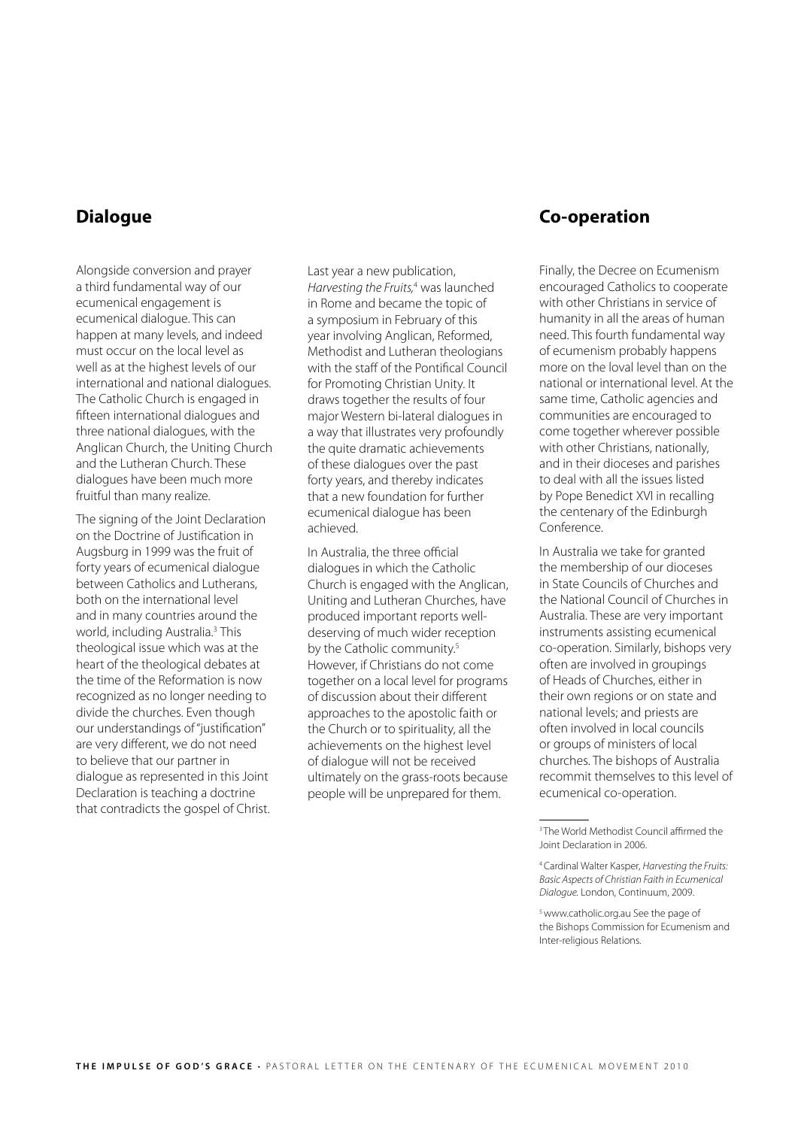#### **Dialogue**

Alongside conversion and prayer a third fundamental way of our ecumenical engagement is ecumenical dialogue. This can happen at many levels, and indeed must occur on the local level as well as at the highest levels of our international and national dialogues. The Catholic Church is engaged in fifteen international dialogues and three national dialogues, with the Anglican Church, the Uniting Church and the Lutheran Church. These dialogues have been much more fruitful than many realize.

The signing of the Joint Declaration on the Doctrine of Justification in Augsburg in 1999 was the fruit of forty years of ecumenical dialogue between Catholics and Lutherans, both on the international level and in many countries around the world, including Australia.3 This theological issue which was at the heart of the theological debates at the time of the Reformation is now recognized as no longer needing to divide the churches. Even though our understandings of "justification" are very different, we do not need to believe that our partner in dialogue as represented in this Joint Declaration is teaching a doctrine that contradicts the gospel of Christ. Last year a new publication, *Harvesting the Fruits,*<sup>4</sup> was launched in Rome and became the topic of a symposium in February of this year involving Anglican, Reformed, Methodist and Lutheran theologians with the staff of the Pontifical Council for Promoting Christian Unity. It draws together the results of four major Western bi-lateral dialogues in a way that illustrates very profoundly the quite dramatic achievements of these dialogues over the past forty years, and thereby indicates that a new foundation for further ecumenical dialogue has been achieved.

In Australia, the three official dialogues in which the Catholic Church is engaged with the Anglican, Uniting and Lutheran Churches, have produced important reports welldeserving of much wider reception by the Catholic community.<sup>5</sup> However, if Christians do not come together on a local level for programs of discussion about their different approaches to the apostolic faith or the Church or to spirituality, all the achievements on the highest level of dialogue will not be received ultimately on the grass-roots because people will be unprepared for them.

### **Co-operation**

Finally, the Decree on Ecumenism encouraged Catholics to cooperate with other Christians in service of humanity in all the areas of human need. This fourth fundamental way of ecumenism probably happens more on the loval level than on the national or international level. At the same time, Catholic agencies and communities are encouraged to come together wherever possible with other Christians, nationally, and in their dioceses and parishes to deal with all the issues listed by Pope Benedict XVI in recalling the centenary of the Edinburgh Conference.

In Australia we take for granted the membership of our dioceses in State Councils of Churches and the National Council of Churches in Australia. These are very important instruments assisting ecumenical co-operation. Similarly, bishops very often are involved in groupings of Heads of Churches, either in their own regions or on state and national levels; and priests are often involved in local councils or groups of ministers of local churches. The bishops of Australia recommit themselves to this level of ecumenical co-operation.

5 www.catholic.org.au See the page of the Bishops Commission for Ecumenism and Inter-religious Relations.

<sup>3</sup> The World Methodist Council affirmed the Joint Declaration in 2006.

<sup>4</sup> Cardinal Walter Kasper, *Harvesting the Fruits: Basic Aspects of Christian Faith in Ecumenical Dialogue.* London, Continuum, 2009.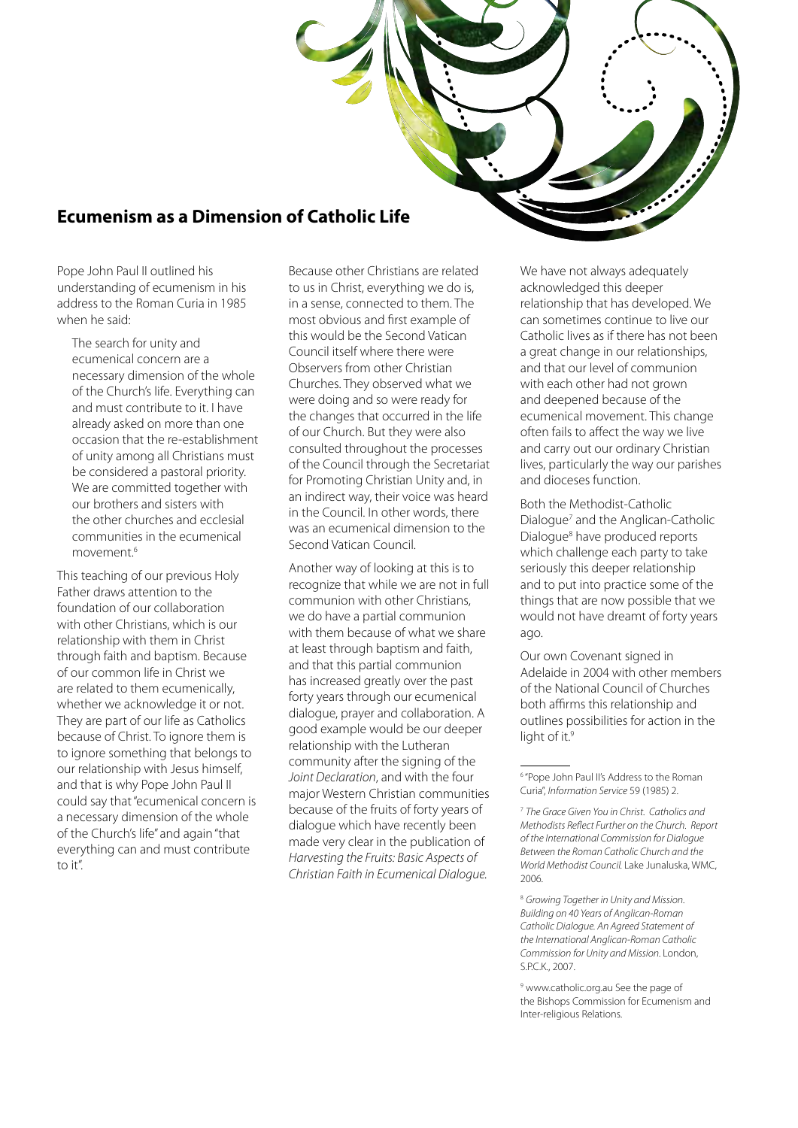### **Ecumenism as a Dimension of Catholic Life**

Pope John Paul II outlined his understanding of ecumenism in his address to the Roman Curia in 1985 when he said:

The search for unity and ecumenical concern are a necessary dimension of the whole of the Church's life. Everything can and must contribute to it. I have already asked on more than one occasion that the re-establishment of unity among all Christians must be considered a pastoral priority. We are committed together with our brothers and sisters with the other churches and ecclesial communities in the ecumenical movement<sup>6</sup>

This teaching of our previous Holy Father draws attention to the foundation of our collaboration with other Christians, which is our relationship with them in Christ through faith and baptism. Because of our common life in Christ we are related to them ecumenically, whether we acknowledge it or not. They are part of our life as Catholics because of Christ. To ignore them is to ignore something that belongs to our relationship with Jesus himself, and that is why Pope John Paul II could say that "ecumenical concern is a necessary dimension of the whole of the Church's life" and again "that everything can and must contribute to it".

Because other Christians are related to us in Christ, everything we do is, in a sense, connected to them. The most obvious and first example of this would be the Second Vatican Council itself where there were Observers from other Christian Churches. They observed what we were doing and so were ready for the changes that occurred in the life of our Church. But they were also consulted throughout the processes of the Council through the Secretariat for Promoting Christian Unity and, in an indirect way, their voice was heard in the Council. In other words, there was an ecumenical dimension to the Second Vatican Council.

Another way of looking at this is to recognize that while we are not in full communion with other Christians, we do have a partial communion with them because of what we share at least through baptism and faith, and that this partial communion has increased greatly over the past forty years through our ecumenical dialogue, prayer and collaboration. A good example would be our deeper relationship with the Lutheran community after the signing of the *Joint Declaration*, and with the four major Western Christian communities because of the fruits of forty years of dialogue which have recently been made very clear in the publication of *Harvesting the Fruits: Basic Aspects of Christian Faith in Ecumenical Dialogue.*

We have not always adequately acknowledged this deeper relationship that has developed. We can sometimes continue to live our Catholic lives as if there has not been a great change in our relationships, and that our level of communion with each other had not grown and deepened because of the ecumenical movement. This change often fails to affect the way we live and carry out our ordinary Christian lives, particularly the way our parishes and dioceses function.

Both the Methodist-Catholic Dialogue<sup>7</sup> and the Anglican-Catholic Dialogue8 have produced reports which challenge each party to take seriously this deeper relationship and to put into practice some of the things that are now possible that we would not have dreamt of forty years ago.

Our own Covenant signed in Adelaide in 2004 with other members of the National Council of Churches both affirms this relationship and outlines possibilities for action in the light of it.<sup>9</sup>

<sup>8</sup> *Growing Together in Unity and Mission. Building on 40 Years of Anglican-Roman Catholic Dialogue. An Agreed Statement of the International Anglican-Roman Catholic Commission for Unity and Mission.* London, S.P.C.K., 2007.

9 www.catholic.org.au See the page of the Bishops Commission for Ecumenism and Inter-religious Relations.

<sup>6</sup> "Pope John Paul II's Address to the Roman Curia", *Information Service* 59 (1985) 2.

<sup>7</sup> *The Grace Given You in Christ. Catholics and Methodists Reflect Further on the Church. Report of the International Commission for Dialogue Between the Roman Catholic Church and the World Methodist Council.* Lake Junaluska, WMC, 2006.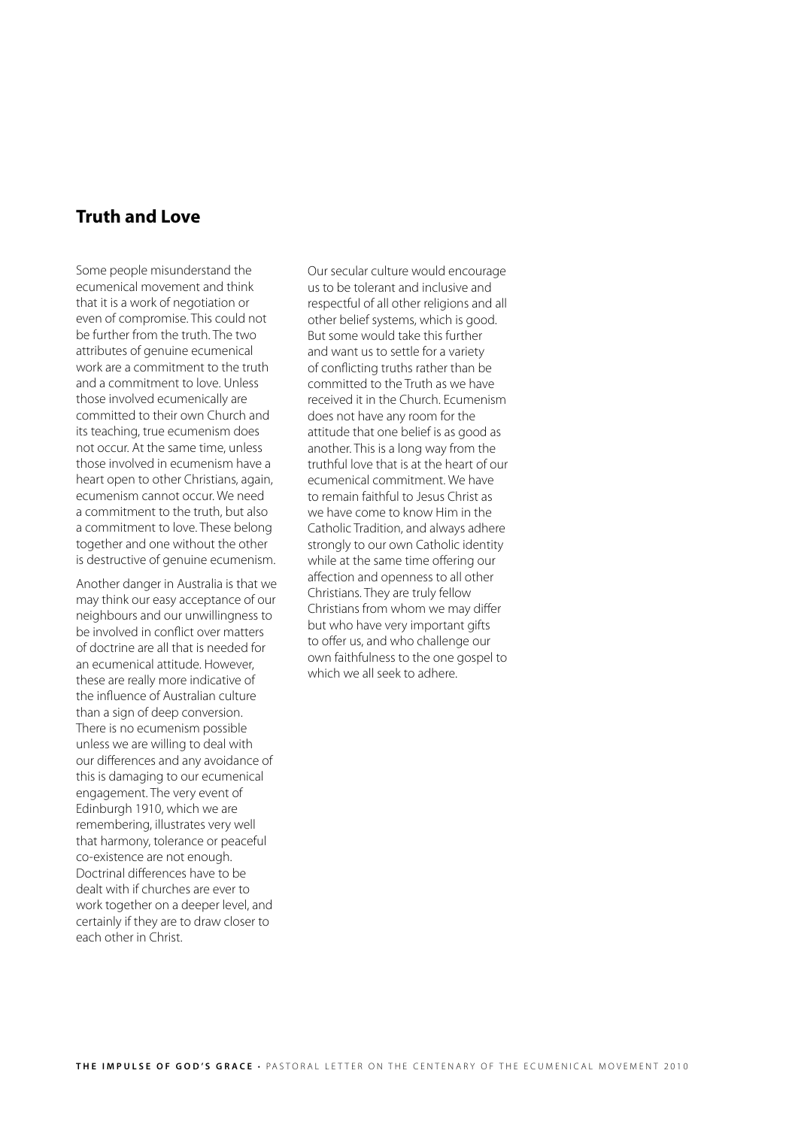### **Truth and Love**

Some people misunderstand the ecumenical movement and think that it is a work of negotiation or even of compromise. This could not be further from the truth. The two attributes of genuine ecumenical work are a commitment to the truth and a commitment to love. Unless those involved ecumenically are committed to their own Church and its teaching, true ecumenism does not occur. At the same time, unless those involved in ecumenism have a heart open to other Christians, again, ecumenism cannot occur. We need a commitment to the truth, but also a commitment to love. These belong together and one without the other is destructive of genuine ecumenism.

Another danger in Australia is that we may think our easy acceptance of our neighbours and our unwillingness to be involved in conflict over matters of doctrine are all that is needed for an ecumenical attitude. However, these are really more indicative of the influence of Australian culture than a sign of deep conversion. There is no ecumenism possible unless we are willing to deal with our differences and any avoidance of this is damaging to our ecumenical engagement. The very event of Edinburgh 1910, which we are remembering, illustrates very well that harmony, tolerance or peaceful co-existence are not enough. Doctrinal differences have to be dealt with if churches are ever to work together on a deeper level, and certainly if they are to draw closer to each other in Christ.

Our secular culture would encourage us to be tolerant and inclusive and respectful of all other religions and all other belief systems, which is good. But some would take this further and want us to settle for a variety of conflicting truths rather than be committed to the Truth as we have received it in the Church. Ecumenism does not have any room for the attitude that one belief is as good as another. This is a long way from the truthful love that is at the heart of our ecumenical commitment. We have to remain faithful to Jesus Christ as we have come to know Him in the Catholic Tradition, and always adhere strongly to our own Catholic identity while at the same time offering our affection and openness to all other Christians. They are truly fellow Christians from whom we may differ but who have very important gifts to offer us, and who challenge our own faithfulness to the one gospel to which we all seek to adhere.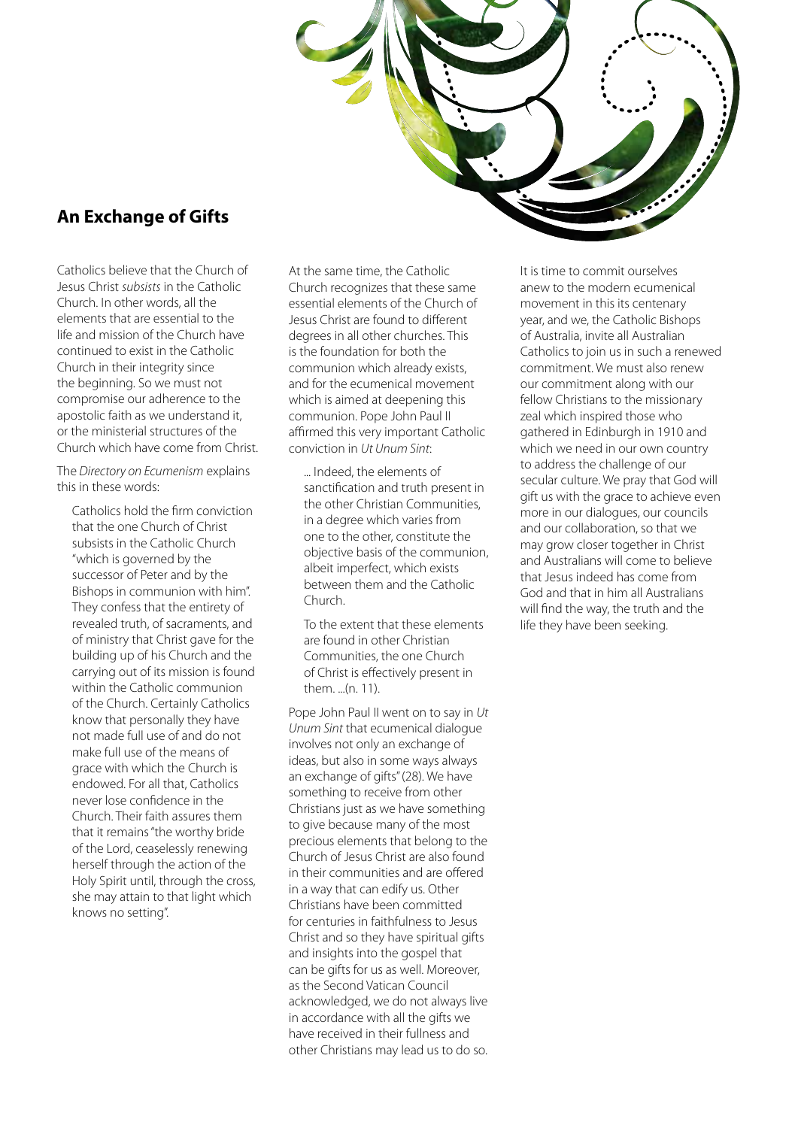## **An Exchange of Gifts**

Catholics believe that the Church of Jesus Christ *subsists* in the Catholic Church. In other words, all the elements that are essential to the life and mission of the Church have continued to exist in the Catholic Church in their integrity since the beginning. So we must not compromise our adherence to the apostolic faith as we understand it, or the ministerial structures of the Church which have come from Christ.

The *Directory on Ecumenism* explains this in these words:

Catholics hold the firm conviction that the one Church of Christ subsists in the Catholic Church "which is governed by the successor of Peter and by the Bishops in communion with him". They confess that the entirety of revealed truth, of sacraments, and of ministry that Christ gave for the building up of his Church and the carrying out of its mission is found within the Catholic communion of the Church. Certainly Catholics know that personally they have not made full use of and do not make full use of the means of grace with which the Church is endowed. For all that, Catholics never lose confidence in the Church. Their faith assures them that it remains "the worthy bride of the Lord, ceaselessly renewing herself through the action of the Holy Spirit until, through the cross, she may attain to that light which knows no setting".

At the same time, the Catholic Church recognizes that these same essential elements of the Church of Jesus Christ are found to different degrees in all other churches. This is the foundation for both the communion which already exists, and for the ecumenical movement which is aimed at deepening this communion. Pope John Paul II affirmed this very important Catholic conviction in *Ut Unum Sint*:

... Indeed, the elements of sanctification and truth present in the other Christian Communities, in a degree which varies from one to the other, constitute the objective basis of the communion, albeit imperfect, which exists between them and the Catholic Church.

To the extent that these elements are found in other Christian Communities, the one Church of Christ is effectively present in them. ...(n. 11).

Pope John Paul II went on to say in *Ut Unum Sint* that ecumenical dialogue involves not only an exchange of ideas, but also in some ways always an exchange of gifts" (28). We have something to receive from other Christians just as we have something to give because many of the most precious elements that belong to the Church of Jesus Christ are also found in their communities and are offered in a way that can edify us. Other Christians have been committed for centuries in faithfulness to Jesus Christ and so they have spiritual gifts and insights into the gospel that can be gifts for us as well. Moreover, as the Second Vatican Council acknowledged, we do not always live in accordance with all the gifts we have received in their fullness and other Christians may lead us to do so.

It is time to commit ourselves anew to the modern ecumenical movement in this its centenary year, and we, the Catholic Bishops of Australia, invite all Australian Catholics to join us in such a renewed commitment. We must also renew our commitment along with our fellow Christians to the missionary zeal which inspired those who gathered in Edinburgh in 1910 and which we need in our own country to address the challenge of our secular culture. We pray that God will gift us with the grace to achieve even more in our dialogues, our councils and our collaboration, so that we may grow closer together in Christ and Australians will come to believe that Jesus indeed has come from God and that in him all Australians will find the way, the truth and the life they have been seeking.